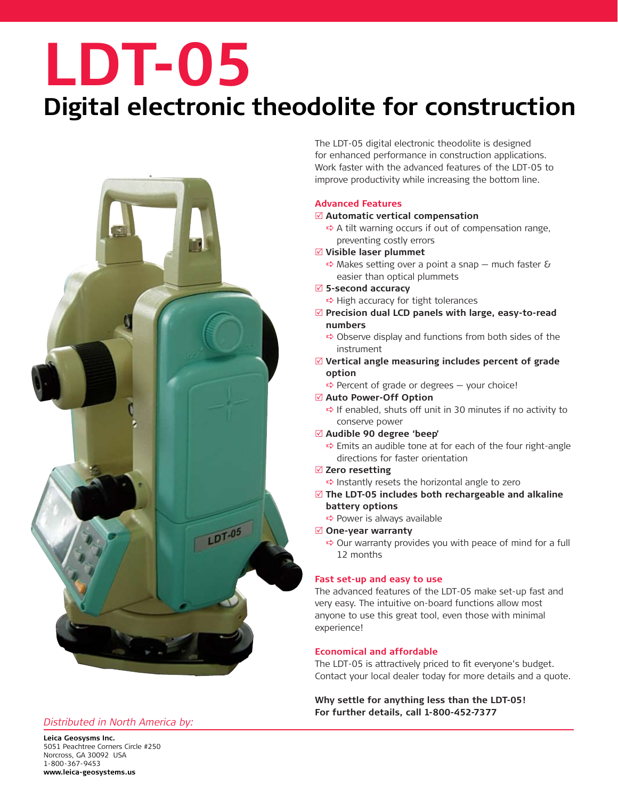## **LDT-05**

### **Digital electronic theodolite for construction**



#### *Distributed in North America by:*

The LDT-05 digital electronic theodolite is designed for enhanced performance in construction applications. Work faster with the advanced features of the LDT-05 to improve productivity while increasing the bottom line.

#### **Advanced Features**

#### R **Automatic vertical compensation**

- $\Rightarrow$  A tilt warning occurs if out of compensation range, preventing costly errors
- R **Visible laser plummet**
	- $\Rightarrow$  Makes setting over a point a snap much faster & easier than optical plummets
- R **5-second accuracy**
	- $\Rightarrow$  High accuracy for tight tolerances
- Precision dual LCD panels with large, easy-to-read **numbers**
	- $\Rightarrow$  Observe display and functions from both sides of the instrument
- R **Vertical angle measuring includes percent of grade option**
	- $\Rightarrow$  Percent of grade or degrees  $-$  your choice!
- Auto Power-Off Option
	- $\Rightarrow$  If enabled, shuts off unit in 30 minutes if no activity to conserve power
- R **Audible 90 degree 'beep'**
	- $\Rightarrow$  Emits an audible tone at for each of the four right-angle directions for faster orientation
- $⊓$  **Zero resetting** 
	- $\Rightarrow$  Instantly resets the horizontal angle to zero
- $✓$  **The LDT-05 includes both rechargeable and alkaline battery options**
	- $\Rightarrow$  Power is always available
- R **One-year warranty**
	- $\Rightarrow$  Our warranty provides you with peace of mind for a full 12 months

#### **Fast set-up and easy to use**

The advanced features of the LDT-05 make set-up fast and very easy. The intuitive on-board functions allow most anyone to use this great tool, even those with minimal experience!

#### **Economical and affordable**

The LDT-05 is attractively priced to fit everyone's budget. Contact your local dealer today for more details and a quote.

**Why settle for anything less than the LDT-05! For further details, call 1-800-452-7377**

**Leica Geosysms Inc.** 5051 Peachtree Corners Circle #250 Norcross, GA 30092 USA 1-800-367-9453 **www.leica-geosystems.us**